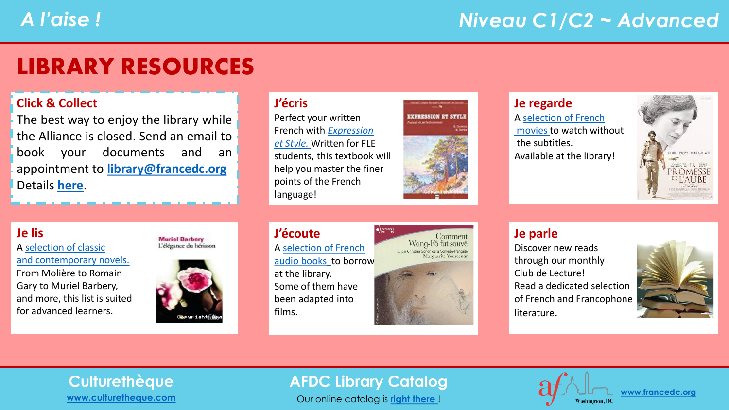### LIBRARY RESOURCES

#### **Click & Collect**

The best way to enjoy the library while the Alliance is closed. Send an email to book your documents and an appointment to **[library@francedc.org](mailto:library@francedc.org)** Details **[here](https://francedc.org/Click_and_Collect_Service)**.

#### **J'écris**

Perfect your written [French with](https://librarycatalog.francedc.org/index.php?lvl=notice_display&id=20151) *Expression et Style.* Written for FLE students, this textbook will help you master the finer points of the French language!



#### **Je regarde**

A [selection of French](https://librarycatalog.francedc.org/index.php?lvl=cmspage&pageid=6&id_rubrique=122) [movies](https://librarycatalog.francedc.org/index.php?lvl=cmspage&pageid=6&id_rubrique=122) to watch without the subtitles. Available at the library!



#### **Je lis**

A selection of classic [and contemporary novels.](https://librarycatalog.francedc.org/index.php?lvl=cmspage&pageid=6&id_rubrique=123) From Molière to Romain Gary to Muriel Barbery, and more, this list is suited for advanced learners.

**Muriel Barbery** L'élégance du hérisson



#### **J'écoute** A [selection of French](https://librarycatalog.francedc.org/index.php?lvl=cmspage&pageid=6&id_rubrique=124) [audio books](https://librarycatalog.francedc.org/index.php?lvl=cmspage&pageid=6&id_rubrique=124) to borrow at the library. Some of them have been adapted into films.



#### **Je parle**

Discover new reads through our monthly Club de Lecture! Read a dedicated selection of French and Francophone literature.



## **[www.culturetheque.com](https://www.culturetheque.com/US/accueil-portal.aspx)**

### **Culturethèque AFDC Library Catalog**

Our online catalog is **[right there](http://librarycatalog.francedc.org/opac/)** !